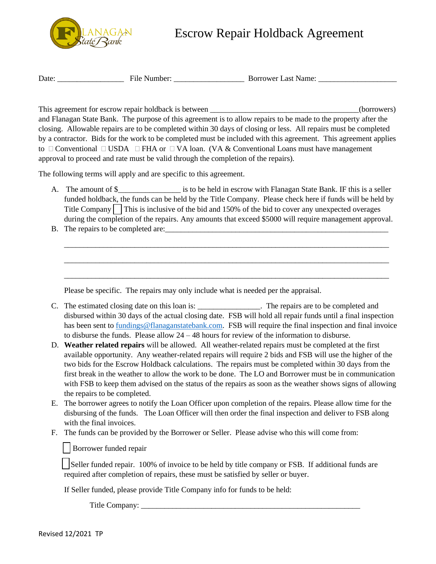

## Escrow Repair Holdback Agreement

Date: \_\_\_\_\_\_\_\_\_\_\_\_\_\_\_\_\_ File Number: \_\_\_\_\_\_\_\_\_\_\_\_\_\_\_\_\_\_ Borrower Last Name: \_\_\_\_\_\_\_\_\_\_\_\_\_\_\_\_\_\_\_\_

This agreement for escrow repair holdback is between \_\_\_\_\_\_\_\_\_\_\_\_\_\_\_\_\_\_\_\_\_\_\_\_\_\_\_\_\_\_\_\_\_\_\_\_\_\_(borrowers) and Flanagan State Bank. The purpose of this agreement is to allow repairs to be made to the property after the closing. Allowable repairs are to be completed within 30 days of closing or less. All repairs must be completed by a contractor. Bids for the work to be completed must be included with this agreement. This agreement applies to  $\Box$  Conventional  $\Box$  USDA  $\Box$  FHA or  $\Box$  VA loan. (VA & Conventional Loans must have management approval to proceed and rate must be valid through the completion of the repairs).

The following terms will apply and are specific to this agreement.

A. The amount of \$ The secrow with Flanagan State Bank. IF this is a seller funded holdback, the funds can be held by the Title Company. Please check here if funds will be held by Title Company  $\Box$  This is inclusive of the bid and 150% of the bid to cover any unexpected overages during the completion of the repairs. Any amounts that exceed \$5000 will require management approval.

\_\_\_\_\_\_\_\_\_\_\_\_\_\_\_\_\_\_\_\_\_\_\_\_\_\_\_\_\_\_\_\_\_\_\_\_\_\_\_\_\_\_\_\_\_\_\_\_\_\_\_\_\_\_\_\_\_\_\_\_\_\_\_\_\_\_\_\_\_\_\_\_\_\_\_\_\_\_\_\_\_\_\_

\_\_\_\_\_\_\_\_\_\_\_\_\_\_\_\_\_\_\_\_\_\_\_\_\_\_\_\_\_\_\_\_\_\_\_\_\_\_\_\_\_\_\_\_\_\_\_\_\_\_\_\_\_\_\_\_\_\_\_\_\_\_\_\_\_\_\_\_\_\_\_\_\_\_\_\_\_\_\_\_\_\_\_

\_\_\_\_\_\_\_\_\_\_\_\_\_\_\_\_\_\_\_\_\_\_\_\_\_\_\_\_\_\_\_\_\_\_\_\_\_\_\_\_\_\_\_\_\_\_\_\_\_\_\_\_\_\_\_\_\_\_\_\_\_\_\_\_\_\_\_\_\_\_\_\_\_\_\_\_\_\_\_\_\_\_\_

B. The repairs to be completed are:

Please be specific. The repairs may only include what is needed per the appraisal.

- C. The estimated closing date on this loan is: \_\_\_\_\_\_\_\_\_\_\_\_\_\_\_\_\_\_\_. The repairs are to be completed and disbursed within 30 days of the actual closing date. FSB will hold all repair funds until a final inspection has been sent t[o fundings@flanaganstatebank.com.](mailto:fundings@flanaganstatebank.com) FSB will require the final inspection and final invoice to disburse the funds. Please allow 24 – 48 hours for review of the information to disburse.
- D. **Weather related repairs** will be allowed. All weather-related repairs must be completed at the first available opportunity. Any weather-related repairs will require 2 bids and FSB will use the higher of the two bids for the Escrow Holdback calculations. The repairs must be completed within 30 days from the first break in the weather to allow the work to be done. The LO and Borrower must be in communication with FSB to keep them advised on the status of the repairs as soon as the weather shows signs of allowing the repairs to be completed.
- E. The borrower agrees to notify the Loan Officer upon completion of the repairs. Please allow time for the disbursing of the funds. The Loan Officer will then order the final inspection and deliver to FSB along with the final invoices.
- F. The funds can be provided by the Borrower or Seller. Please advise who this will come from:

Borrower funded repair

Seller funded repair. 100% of invoice to be held by title company or FSB. If additional funds are required after completion of repairs, these must be satisfied by seller or buyer.

If Seller funded, please provide Title Company info for funds to be held:

Title Company: \_\_\_\_\_\_\_\_\_\_\_\_\_\_\_\_\_\_\_\_\_\_\_\_\_\_\_\_\_\_\_\_\_\_\_\_\_\_\_\_\_\_\_\_\_\_\_\_\_\_\_\_\_\_\_\_